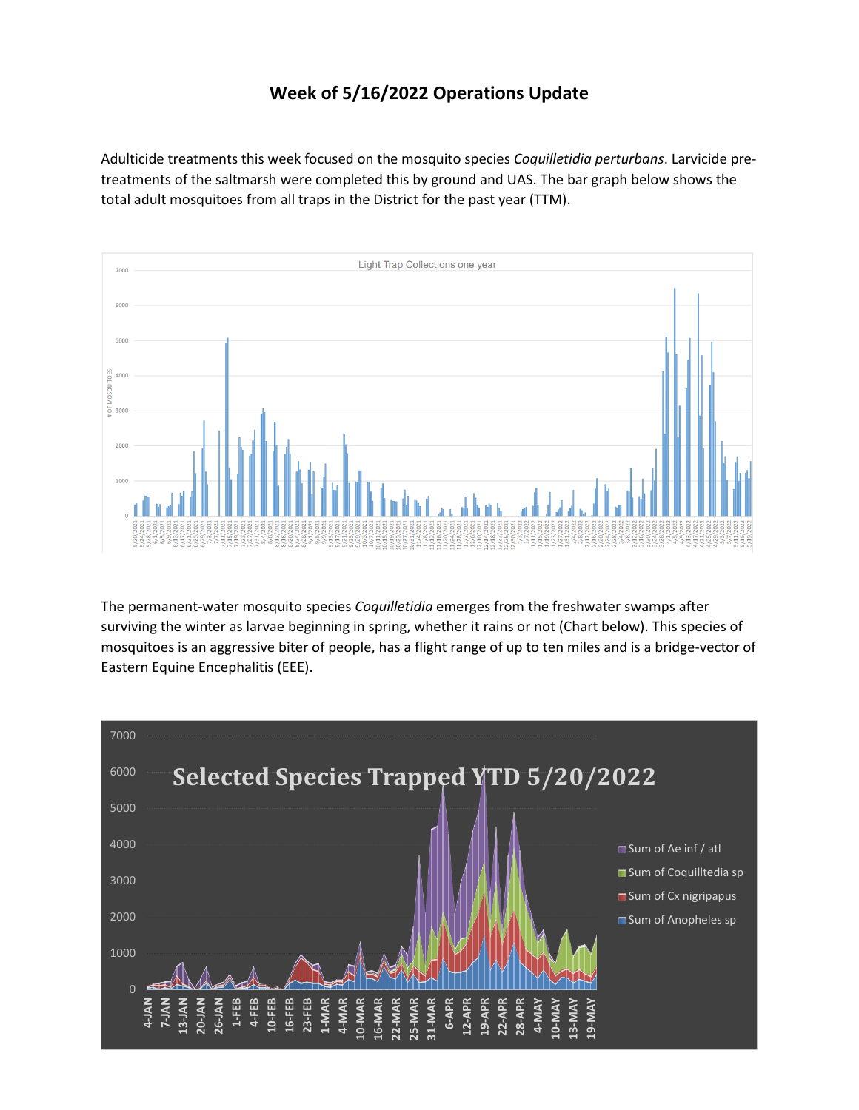## **Week of 5/16/2022 Operations Update**

Adulticide treatments this week focused on the mosquito species *Coquilletidia perturbans*. Larvicide pretreatments of the saltmarsh were completed this by ground and UAS. The bar graph below shows the total adult mosquitoes from all traps in the District for the past year (TTM).



The permanent-water mosquito species *Coquilletidia* emerges from the freshwater swamps after surviving the winter as larvae beginning in spring, whether it rains or not (Chart below). This species of mosquitoes is an aggressive biter of people, has a flight range of up to ten miles and is a bridge-vector of Eastern Equine Encephalitis (EEE).